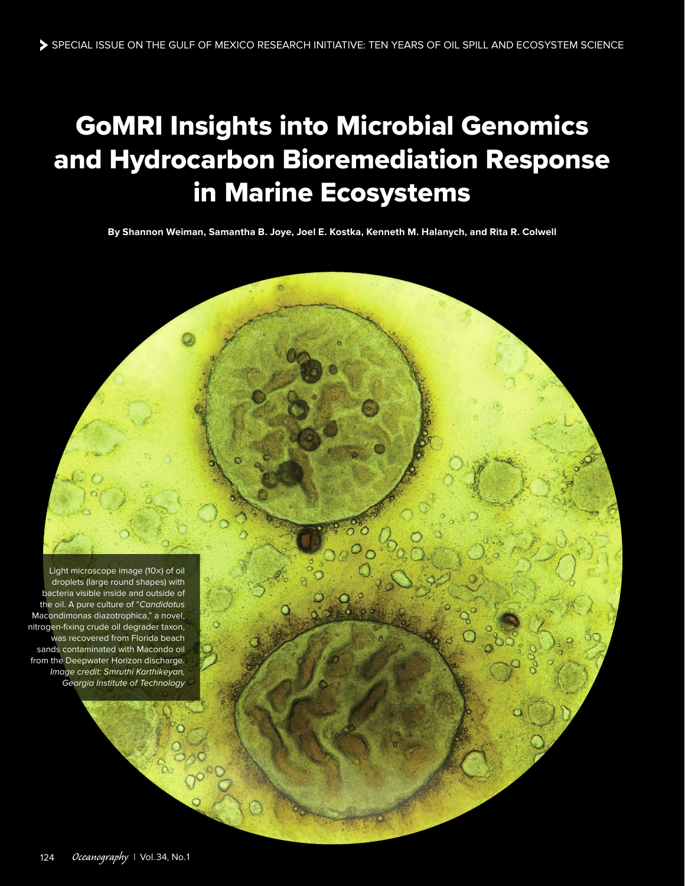# GoMRI Insights into Microbial Genomics and Hydrocarbon Bioremediation Response in Marine Ecosystems

**By Shannon Weiman, Samantha B. Joye, Joel E. Kostka, Kenneth M. Halanych, and Rita R. Colwell**

Light microscope image (10×) of oil droplets (large round shapes) with bacteria visible inside and outside of the oil. A pure culture of "*Candidatus* Macondimonas diazotrophica," a novel, nitrogen-fixing crude oil degrader taxon, was recovered from Florida beach sands contaminated with Macondo oil from the Deepwater Horizon discharge. *Image credit: Smruthi Karthikeyan, Georgia Institute of Technology*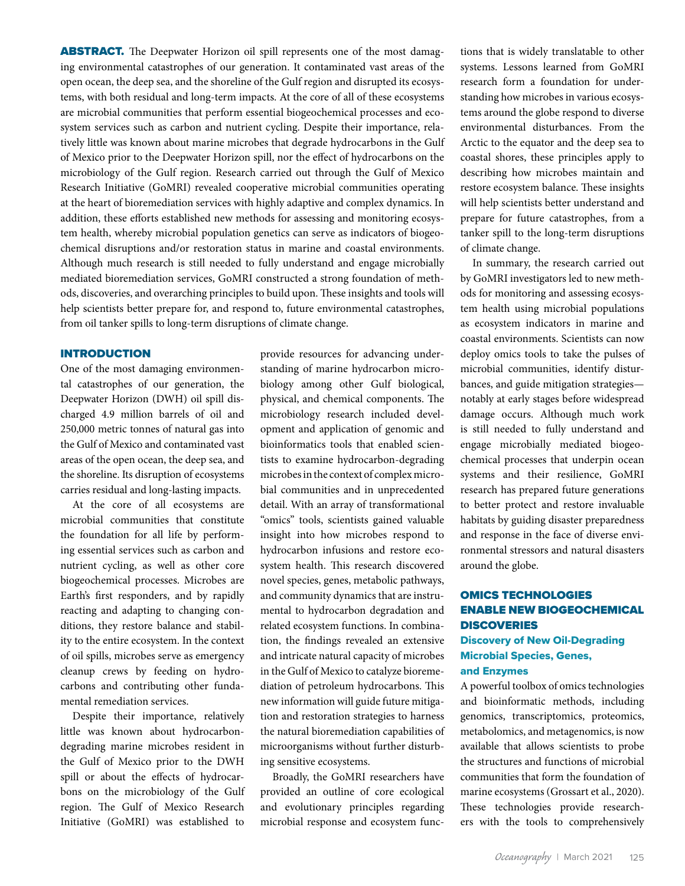ABSTRACT. The Deepwater Horizon oil spill represents one of the most damaging environmental catastrophes of our generation. It contaminated vast areas of the open ocean, the deep sea, and the shoreline of the Gulf region and disrupted its ecosystems, with both residual and long-term impacts. At the core of all of these ecosystems are microbial communities that perform essential biogeochemical processes and ecosystem services such as carbon and nutrient cycling. Despite their importance, relatively little was known about marine microbes that degrade hydrocarbons in the Gulf of Mexico prior to the Deepwater Horizon spill, nor the effect of hydrocarbons on the microbiology of the Gulf region. Research carried out through the Gulf of Mexico Research Initiative (GoMRI) revealed cooperative microbial communities operating at the heart of bioremediation services with highly adaptive and complex dynamics. In addition, these efforts established new methods for assessing and monitoring ecosystem health, whereby microbial population genetics can serve as indicators of biogeochemical disruptions and/or restoration status in marine and coastal environments. Although much research is still needed to fully understand and engage microbially mediated bioremediation services, GoMRI constructed a strong foundation of methods, discoveries, and overarching principles to build upon. These insights and tools will help scientists better prepare for, and respond to, future environmental catastrophes, from oil tanker spills to long-term disruptions of climate change.

## INTRODUCTION

One of the most damaging environmental catastrophes of our generation, the Deepwater Horizon (DWH) oil spill discharged 4.9 million barrels of oil and 250,000 metric tonnes of natural gas into the Gulf of Mexico and contaminated vast areas of the open ocean, the deep sea, and the shoreline. Its disruption of ecosystems carries residual and long-lasting impacts.

At the core of all ecosystems are microbial communities that constitute the foundation for all life by performing essential services such as carbon and nutrient cycling, as well as other core biogeochemical processes. Microbes are Earth's first responders, and by rapidly reacting and adapting to changing conditions, they restore balance and stability to the entire ecosystem. In the context of oil spills, microbes serve as emergency cleanup crews by feeding on hydrocarbons and contributing other fundamental remediation services.

Despite their importance, relatively little was known about hydrocarbondegrading marine microbes resident in the Gulf of Mexico prior to the DWH spill or about the effects of hydrocarbons on the microbiology of the Gulf region. The Gulf of Mexico Research Initiative (GoMRI) was established to provide resources for advancing understanding of marine hydrocarbon microbiology among other Gulf biological, physical, and chemical components. The microbiology research included development and application of genomic and bioinformatics tools that enabled scientists to examine hydrocarbon-degrading microbes in the context of complex microbial communities and in unprecedented detail. With an array of transformational "omics" tools, scientists gained valuable insight into how microbes respond to hydrocarbon infusions and restore ecosystem health. This research discovered novel species, genes, metabolic pathways, and community dynamics that are instrumental to hydrocarbon degradation and related ecosystem functions. In combination, the findings revealed an extensive and intricate natural capacity of microbes in the Gulf of Mexico to catalyze bioremediation of petroleum hydrocarbons. This new information will guide future mitigation and restoration strategies to harness the natural bioremediation capabilities of microorganisms without further disturbing sensitive ecosystems.

Broadly, the GoMRI researchers have provided an outline of core ecological and evolutionary principles regarding microbial response and ecosystem functions that is widely translatable to other systems. Lessons learned from GoMRI research form a foundation for understanding how microbes in various ecosystems around the globe respond to diverse environmental disturbances. From the Arctic to the equator and the deep sea to coastal shores, these principles apply to describing how microbes maintain and restore ecosystem balance. These insights will help scientists better understand and prepare for future catastrophes, from a tanker spill to the long-term disruptions of climate change.

In summary, the research carried out by GoMRI investigators led to new methods for monitoring and assessing ecosystem health using microbial populations as ecosystem indicators in marine and coastal environments. Scientists can now deploy omics tools to take the pulses of microbial communities, identify disturbances, and guide mitigation strategies notably at early stages before widespread damage occurs. Although much work is still needed to fully understand and engage microbially mediated biogeochemical processes that underpin ocean systems and their resilience, GoMRI research has prepared future generations to better protect and restore invaluable habitats by guiding disaster preparedness and response in the face of diverse environmental stressors and natural disasters around the globe.

# OMICS TECHNOLOGIES ENABLE NEW BIOGEOCHEMICAL DISCOVERIES

# Discovery of New Oil-Degrading Microbial Species, Genes, and Enzymes

A powerful toolbox of omics technologies and bioinformatic methods, including genomics, transcriptomics, proteomics, metabolomics, and metagenomics, is now available that allows scientists to probe the structures and functions of microbial communities that form the foundation of marine ecosystems (Grossart et al., 2020). These technologies provide researchers with the tools to comprehensively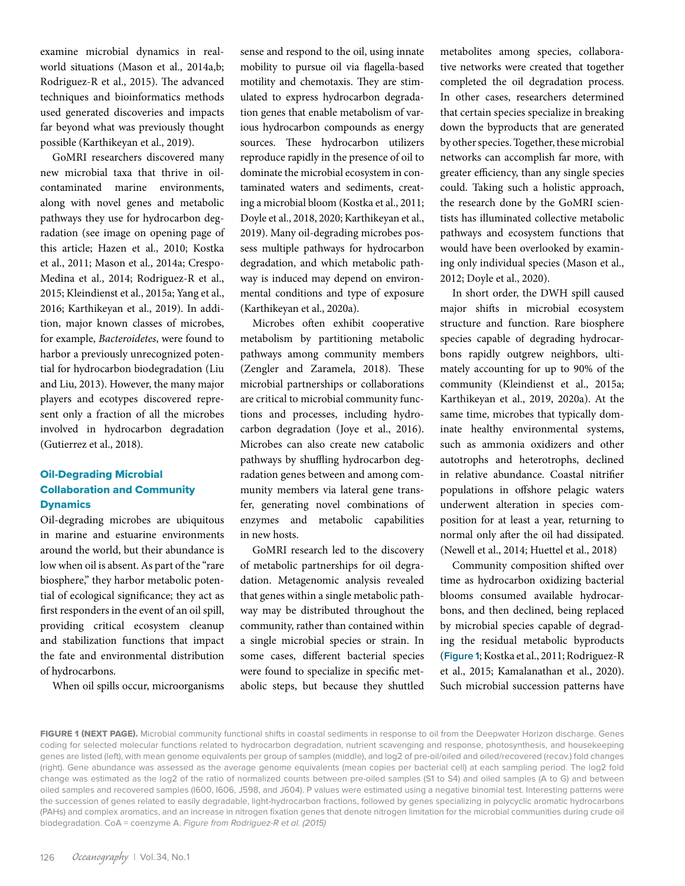examine microbial dynamics in realworld situations (Mason et al., 2014a,b; Rodriguez-R et al., 2015). The advanced techniques and bioinformatics methods used generated discoveries and impacts far beyond what was previously thought possible (Karthikeyan et al., 2019).

GoMRI researchers discovered many new microbial taxa that thrive in oilcontaminated marine environments, along with novel genes and metabolic pathways they use for hydrocarbon degradation (see image on opening page of this article; Hazen et al., 2010; Kostka et al., 2011; Mason et al., 2014a; Crespo-Medina et al., 2014; Rodriguez-R et al., 2015; Kleindienst et al., 2015a; Yang et al., 2016; Karthikeyan et al., 2019). In addition, major known classes of microbes, for example, *Bacteroidetes*, were found to harbor a previously unrecognized potential for hydrocarbon biodegradation (Liu and Liu, 2013). However, the many major players and ecotypes discovered represent only a fraction of all the microbes involved in hydrocarbon degradation (Gutierrez et al., 2018).

# Oil-Degrading Microbial Collaboration and Community **Dynamics**

Oil-degrading microbes are ubiquitous in marine and estuarine environments around the world, but their abundance is low when oil is absent. As part of the "rare biosphere," they harbor metabolic potential of ecological significance; they act as first responders in the event of an oil spill, providing critical ecosystem cleanup and stabilization functions that impact the fate and environmental distribution of hydrocarbons.

When oil spills occur, microorganisms

sense and respond to the oil, using innate mobility to pursue oil via flagella-based motility and chemotaxis. They are stimulated to express hydrocarbon degradation genes that enable metabolism of various hydrocarbon compounds as energy sources. These hydrocarbon utilizers reproduce rapidly in the presence of oil to dominate the microbial ecosystem in contaminated waters and sediments, creating a microbial bloom (Kostka et al., 2011; Doyle et al., 2018, 2020; Karthikeyan et al., 2019). Many oil-degrading microbes possess multiple pathways for hydrocarbon degradation, and which metabolic pathway is induced may depend on environmental conditions and type of exposure (Karthikeyan et al., 2020a).

Microbes often exhibit cooperative metabolism by partitioning metabolic pathways among community members (Zengler and Zaramela, 2018). These microbial partnerships or collaborations are critical to microbial community functions and processes, including hydrocarbon degradation (Joye et al., 2016). Microbes can also create new catabolic pathways by shuffling hydrocarbon degradation genes between and among community members via lateral gene transfer, generating novel combinations of enzymes and metabolic capabilities in new hosts.

GoMRI research led to the discovery of metabolic partnerships for oil degradation. Metagenomic analysis revealed that genes within a single metabolic pathway may be distributed throughout the community, rather than contained within a single microbial species or strain. In some cases, different bacterial species were found to specialize in specific metabolic steps, but because they shuttled

metabolites among species, collaborative networks were created that together completed the oil degradation process. In other cases, researchers determined that certain species specialize in breaking down the byproducts that are generated by other species. Together, these microbial networks can accomplish far more, with greater efficiency, than any single species could. Taking such a holistic approach, the research done by the GoMRI scientists has illuminated collective metabolic pathways and ecosystem functions that would have been overlooked by examining only individual species (Mason et al., 2012; Doyle et al., 2020).

In short order, the DWH spill caused major shifts in microbial ecosystem structure and function. Rare biosphere species capable of degrading hydrocarbons rapidly outgrew neighbors, ultimately accounting for up to 90% of the community (Kleindienst et al., 2015a; Karthikeyan et al., 2019, 2020a). At the same time, microbes that typically dominate healthy environmental systems, such as ammonia oxidizers and other autotrophs and heterotrophs, declined in relative abundance. Coastal nitrifier populations in offshore pelagic waters underwent alteration in species composition for at least a year, returning to normal only after the oil had dissipated. (Newell et al., 2014; Huettel et al., 2018)

Community composition shifted over time as hydrocarbon oxidizing bacterial blooms consumed available hydrocarbons, and then declined, being replaced by microbial species capable of degrading the residual metabolic byproducts (**Figure 1**; Kostka et al., 2011; Rodriguez-R et al., 2015; Kamalanathan et al., 2020). Such microbial succession patterns have

FIGURE 1 (NEXT PAGE). Microbial community functional shifts in coastal sediments in response to oil from the Deepwater Horizon discharge. Genes coding for selected molecular functions related to hydrocarbon degradation, nutrient scavenging and response, photosynthesis, and housekeeping genes are listed (left), with mean genome equivalents per group of samples (middle), and log2 of pre-oil/oiled and oiled/recovered (recov.) fold changes (right). Gene abundance was assessed as the average genome equivalents (mean copies per bacterial cell) at each sampling period. The log2 fold change was estimated as the log2 of the ratio of normalized counts between pre-oiled samples (S1 to S4) and oiled samples (A to G) and between oiled samples and recovered samples (I600, I606, J598, and J604). P values were estimated using a negative binomial test. Interesting patterns were the succession of genes related to easily degradable, light-hydrocarbon fractions, followed by genes specializing in polycyclic aromatic hydrocarbons (PAHs) and complex aromatics, and an increase in nitrogen fixation genes that denote nitrogen limitation for the microbial communities during crude oil biodegradation. CoA = coenzyme A. *Figure from Rodriguez-R et al. (2015)*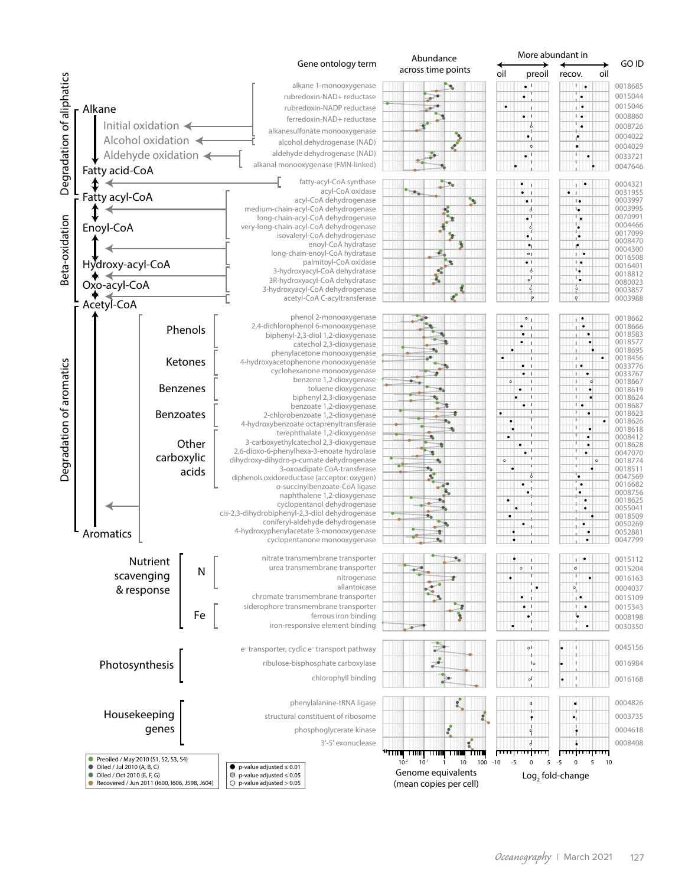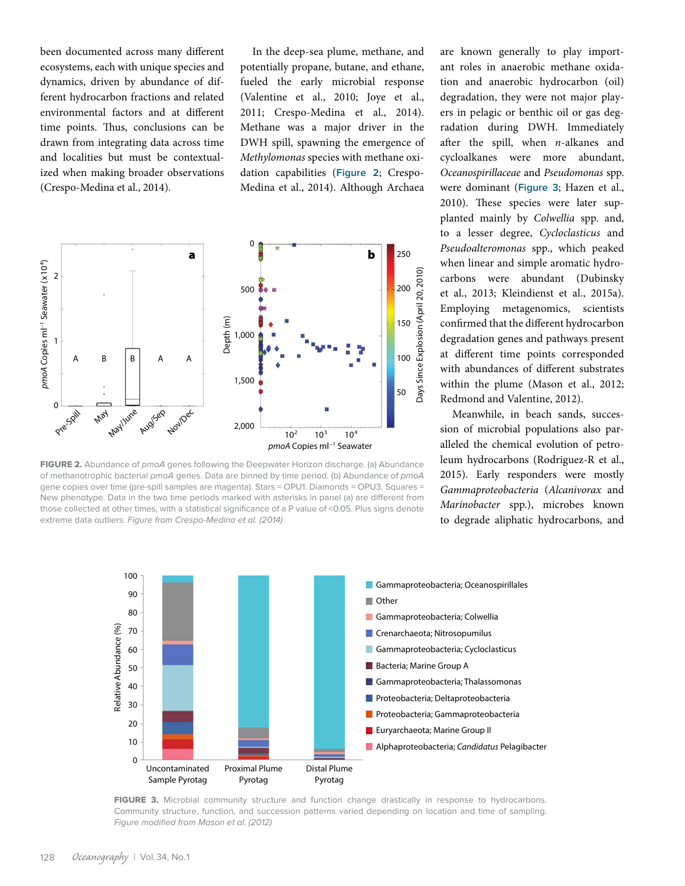been documented across many different ecosystems, each with unique species and dynamics, driven by abundance of different hydrocarbon fractions and related environmental factors and at different time points. Thus, conclusions can be drawn from integrating data across time and localities but must be contextualized when making broader observations (Crespo-Medina et al., 2014).

In the deep-sea plume, methane, and potentially propane, butane, and ethane, fueled the early microbial response (Valentine et al., 2010; Joye et al., 2011; Crespo-Medina et al., 2014). Methane was a major driver in the DWH spill, spawning the emergence of *Methylomonas* species with methane oxidation capabilities (**Figure 2**; Crespo-Medina et al., 2014). Although Archaea



FIGURE 2. Abundance of *pmoA* genes following the Deepwater Horizon discharge. (a) Abundance of methanotrophic bacterial *pmoA* genes. Data are binned by time period. (b) Abundance of *pmoA* gene copies over time (pre-spill samples are magenta). Stars = OPU1. Diamonds = OPU3. Squares = New phenotype. Data in the two time periods marked with asterisks in panel (a) are different from those collected at other times, with a statistical significance of a P value of <0.05. Plus signs denote

are known generally to play important roles in anaerobic methane oxidation and anaerobic hydrocarbon (oil) degradation, they were not major players in pelagic or benthic oil or gas degradation during DWH. Immediately after the spill, when *n*-alkanes and cycloalkanes were more abundant, *Oceanospirillaceae* and *Pseudomonas* spp. were dominant (**Figure 3**; Hazen et al., 2010). These species were later supplanted mainly by *Colwellia* spp. and, to a lesser degree, *Cycloclasticus* and *Pseudoalteromonas*  spp., which peaked when linear and simple aromatic hydrocarbons were abundant (Dubinsky et al., 2013; Kleindienst et al., 2015a). Employing metagenomics, scientists confirmed that the different hydrocarbon degradation genes and pathways present at different time points corresponded with abundances of different substrates within the plume (Mason et al., 2012; Redmond and Valentine, 2012).

Meanwhile, in beach sands, succession of microbial populations also paralleled the chemical evolution of petroleum hydrocarbons (Rodriguez-R et al., 2015). Early responders were mostly *Gammaproteobacteria* (*Alcanivorax* and *Marinobacter* spp.), microbes known to degrade aliphatic hydrocarbons, and



FIGURE 3. Microbial community structure and function change drastically in response to hydrocarbons. Community structure, function, and succession patterns varied depending on location and time of sampling. *Figure modified from Mason et al. (2012)*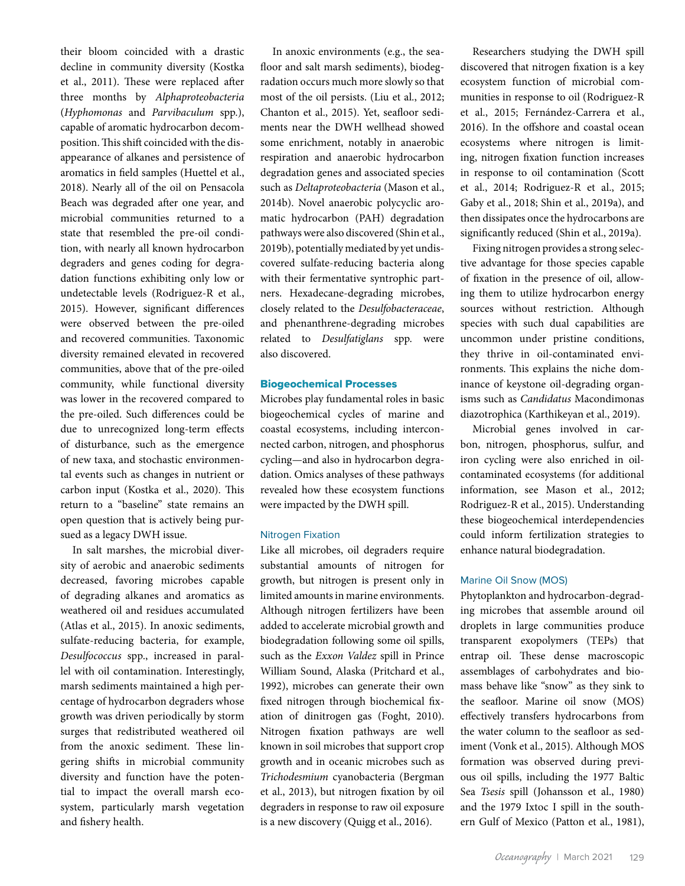their bloom coincided with a drastic decline in community diversity (Kostka et al., 2011). These were replaced after three months by *Alphaproteobacteria* (*Hyphomonas* and *Parvibaculum* spp.), capable of aromatic hydrocarbon decomposition. This shift coincided with the disappearance of alkanes and persistence of aromatics in field samples (Huettel et al., 2018). Nearly all of the oil on Pensacola Beach was degraded after one year, and microbial communities returned to a state that resembled the pre-oil condition, with nearly all known hydrocarbon degraders and genes coding for degradation functions exhibiting only low or undetectable levels (Rodriguez-R et al., 2015). However, significant differences were observed between the pre-oiled and recovered communities. Taxonomic diversity remained elevated in recovered communities, above that of the pre-oiled community, while functional diversity was lower in the recovered compared to the pre-oiled. Such differences could be due to unrecognized long-term effects of disturbance, such as the emergence of new taxa, and stochastic environmental events such as changes in nutrient or carbon input (Kostka et al., 2020). This return to a "baseline" state remains an open question that is actively being pursued as a legacy DWH issue.

In salt marshes, the microbial diversity of aerobic and anaerobic sediments decreased, favoring microbes capable of degrading alkanes and aromatics as weathered oil and residues accumulated (Atlas et al., 2015). In anoxic sediments, sulfate-reducing bacteria, for example, *Desulfococcus* spp., increased in parallel with oil contamination. Interestingly, marsh sediments maintained a high percentage of hydrocarbon degraders whose growth was driven periodically by storm surges that redistributed weathered oil from the anoxic sediment. These lingering shifts in microbial community diversity and function have the potential to impact the overall marsh ecosystem, particularly marsh vegetation and fishery health.

In anoxic environments (e.g., the seafloor and salt marsh sediments), biodegradation occurs much more slowly so that most of the oil persists. (Liu et al., 2012; Chanton et al., 2015). Yet, seafloor sediments near the DWH wellhead showed some enrichment, notably in anaerobic respiration and anaerobic hydrocarbon degradation genes and associated species such as *Deltaproteobacteria* (Mason et al., 2014b). Novel anaerobic polycyclic aromatic hydrocarbon (PAH) degradation pathways were also discovered (Shin et al., 2019b), potentially mediated by yet undiscovered sulfate-reducing bacteria along with their fermentative syntrophic partners. Hexadecane-degrading microbes, closely related to the *Desulfobacteraceae*, and phenanthrene-degrading microbes related to *Desulfatiglans* spp. were also discovered.

## Biogeochemical Processes

Microbes play fundamental roles in basic biogeochemical cycles of marine and coastal ecosystems, including interconnected carbon, nitrogen, and phosphorus cycling—and also in hydrocarbon degradation. Omics analyses of these pathways revealed how these ecosystem functions were impacted by the DWH spill.

## Nitrogen Fixation

Like all microbes, oil degraders require substantial amounts of nitrogen for growth, but nitrogen is present only in limited amounts in marine environments. Although nitrogen fertilizers have been added to accelerate microbial growth and biodegradation following some oil spills, such as the *Exxon Valdez* spill in Prince William Sound, Alaska (Pritchard et al., 1992), microbes can generate their own fixed nitrogen through biochemical fixation of dinitrogen gas (Foght, 2010). Nitrogen fixation pathways are well known in soil microbes that support crop growth and in oceanic microbes such as *Trichodesmium* cyanobacteria (Bergman et al., 2013), but nitrogen fixation by oil degraders in response to raw oil exposure is a new discovery (Quigg et al., 2016).

Researchers studying the DWH spill discovered that nitrogen fixation is a key ecosystem function of microbial communities in response to oil (Rodriguez-R et al., 2015; Fernández-Carrera et al., 2016). In the offshore and coastal ocean ecosystems where nitrogen is limiting, nitrogen fixation function increases in response to oil contamination (Scott et al., 2014; Rodriguez-R et al., 2015; Gaby et al., 2018; Shin et al., 2019a), and then dissipates once the hydrocarbons are significantly reduced (Shin et al., 2019a).

Fixing nitrogen provides a strong selective advantage for those species capable of fixation in the presence of oil, allowing them to utilize hydrocarbon energy sources without restriction. Although species with such dual capabilities are uncommon under pristine conditions, they thrive in oil-contaminated environments. This explains the niche dominance of keystone oil-degrading organisms such as *Candidatus* Macondimonas diazotrophica (Karthikeyan et al., 2019).

Microbial genes involved in carbon, nitrogen, phosphorus, sulfur, and iron cycling were also enriched in oilcontaminated ecosystems (for additional information, see Mason et al., 2012; Rodriguez-R et al., 2015). Understanding these biogeochemical interdependencies could inform fertilization strategies to enhance natural biodegradation.

## Marine Oil Snow (MOS)

Phytoplankton and hydrocarbon-degrading microbes that assemble around oil droplets in large communities produce transparent exopolymers (TEPs) that entrap oil. These dense macroscopic assemblages of carbohydrates and biomass behave like "snow" as they sink to the seafloor. Marine oil snow (MOS) effectively transfers hydrocarbons from the water column to the seafloor as sediment (Vonk et al., 2015). Although MOS formation was observed during previous oil spills, including the 1977 Baltic Sea *Tsesis* spill (Johansson et al., 1980) and the 1979 Ixtoc I spill in the southern Gulf of Mexico (Patton et al., 1981),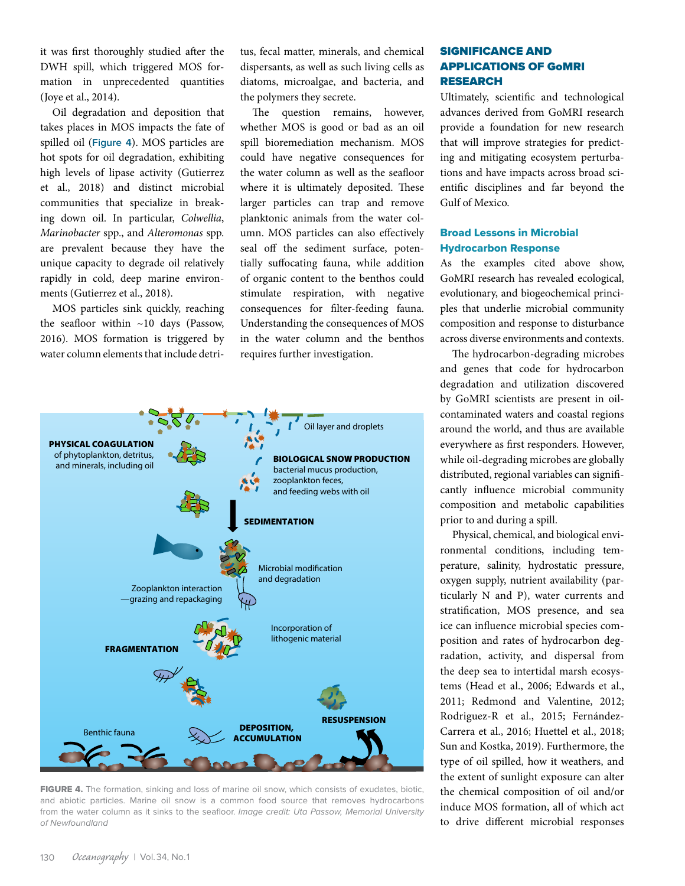it was first thoroughly studied after the DWH spill, which triggered MOS formation in unprecedented quantities (Joye et al., 2014).

Oil degradation and deposition that takes places in MOS impacts the fate of spilled oil (**Figure 4**). MOS particles are hot spots for oil degradation, exhibiting high levels of lipase activity (Gutierrez et al., 2018) and distinct microbial communities that specialize in breaking down oil. In particular, *Colwellia*, *Marinobacter* spp., and *Alteromonas* spp. are prevalent because they have the unique capacity to degrade oil relatively rapidly in cold, deep marine environments (Gutierrez et al., 2018).

MOS particles sink quickly, reaching the seafloor within ~10 days (Passow, 2016). MOS formation is triggered by water column elements that include detritus, fecal matter, minerals, and chemical dispersants, as well as such living cells as diatoms, microalgae, and bacteria, and the polymers they secrete.

The question remains, however, whether MOS is good or bad as an oil spill bioremediation mechanism. MOS could have negative consequences for the water column as well as the seafloor where it is ultimately deposited. These larger particles can trap and remove planktonic animals from the water column. MOS particles can also effectively seal off the sediment surface, potentially suffocating fauna, while addition of organic content to the benthos could stimulate respiration, with negative consequences for filter-feeding fauna. Understanding the consequences of MOS in the water column and the benthos requires further investigation.



FIGURE 4. The formation, sinking and loss of marine oil snow, which consists of exudates, biotic, and abiotic particles. Marine oil snow is a common food source that removes hydrocarbons from the water column as it sinks to the seafloor. *Image credit: Uta Passow, Memorial University of Newfoundland*

# SIGNIFICANCE AND APPLICATIONS OF GoMRI RESEARCH

Ultimately, scientific and technological advances derived from GoMRI research provide a foundation for new research that will improve strategies for predicting and mitigating ecosystem perturbations and have impacts across broad scientific disciplines and far beyond the Gulf of Mexico.

# Broad Lessons in Microbial Hydrocarbon Response

As the examples cited above show, GoMRI research has revealed ecological, evolutionary, and biogeochemical principles that underlie microbial community composition and response to disturbance across diverse environments and contexts.

The hydrocarbon-degrading microbes and genes that code for hydrocarbon degradation and utilization discovered by GoMRI scientists are present in oilcontaminated waters and coastal regions around the world, and thus are available everywhere as first responders. However, while oil-degrading microbes are globally distributed, regional variables can significantly influence microbial community composition and metabolic capabilities prior to and during a spill.

Physical, chemical, and biological environmental conditions, including temperature, salinity, hydrostatic pressure, oxygen supply, nutrient availability (particularly N and P), water currents and stratification, MOS presence, and sea ice can influence microbial species composition and rates of hydrocarbon degradation, activity, and dispersal from the deep sea to intertidal marsh ecosystems (Head et al., 2006; Edwards et al., 2011; Redmond and Valentine, 2012; Rodriguez-R et al., 2015; Fernández-Carrera et al., 2016; Huettel et al., 2018; Sun and Kostka, 2019). Furthermore, the type of oil spilled, how it weathers, and the extent of sunlight exposure can alter the chemical composition of oil and/or induce MOS formation, all of which act to drive different microbial responses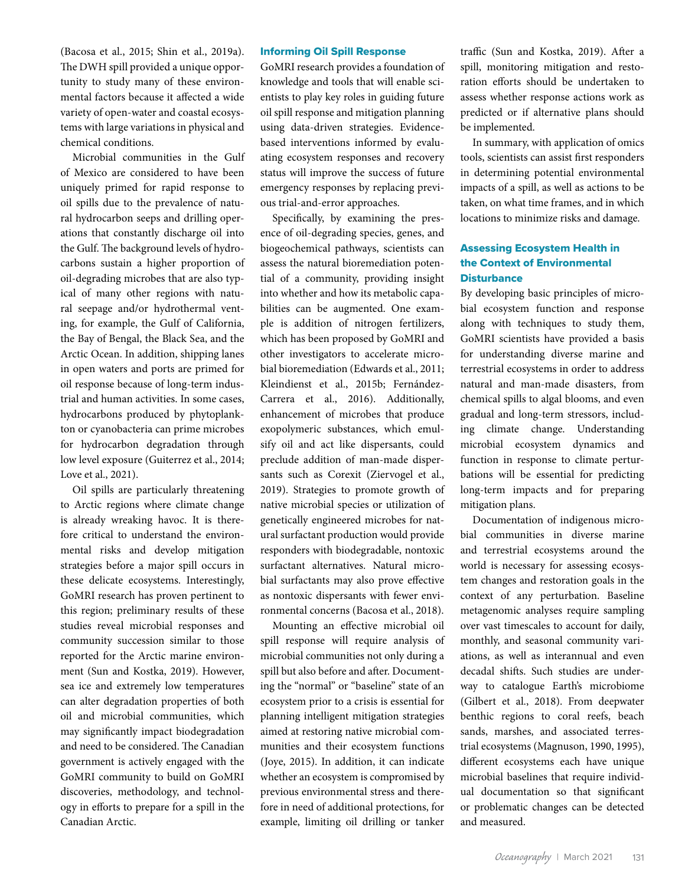(Bacosa et al., 2015; Shin et al., 2019a). The DWH spill provided a unique opportunity to study many of these environmental factors because it affected a wide variety of open-water and coastal ecosystems with large variations in physical and chemical conditions.

Microbial communities in the Gulf of Mexico are considered to have been uniquely primed for rapid response to oil spills due to the prevalence of natural hydrocarbon seeps and drilling operations that constantly discharge oil into the Gulf. The background levels of hydrocarbons sustain a higher proportion of oil-degrading microbes that are also typical of many other regions with natural seepage and/or hydrothermal venting, for example, the Gulf of California, the Bay of Bengal, the Black Sea, and the Arctic Ocean. In addition, shipping lanes in open waters and ports are primed for oil response because of long-term industrial and human activities. In some cases, hydrocarbons produced by phytoplankton or cyanobacteria can prime microbes for hydrocarbon degradation through low level exposure (Guiterrez et al., 2014; Love et al., 2021).

Oil spills are particularly threatening to Arctic regions where climate change is already wreaking havoc. It is therefore critical to understand the environmental risks and develop mitigation strategies before a major spill occurs in these delicate ecosystems. Interestingly, GoMRI research has proven pertinent to this region; preliminary results of these studies reveal microbial responses and community succession similar to those reported for the Arctic marine environment (Sun and Kostka, 2019). However, sea ice and extremely low temperatures can alter degradation properties of both oil and microbial communities, which may significantly impact biodegradation and need to be considered. The Canadian government is actively engaged with the GoMRI community to build on GoMRI discoveries, methodology, and technology in efforts to prepare for a spill in the Canadian Arctic.

## Informing Oil Spill Response

GoMRI research provides a foundation of knowledge and tools that will enable scientists to play key roles in guiding future oil spill response and mitigation planning using data-driven strategies. Evidencebased interventions informed by evaluating ecosystem responses and recovery status will improve the success of future emergency responses by replacing previous trial-and-error approaches.

Specifically, by examining the presence of oil-degrading species, genes, and biogeochemical pathways, scientists can assess the natural bioremediation potential of a community, providing insight into whether and how its metabolic capabilities can be augmented. One example is addition of nitrogen fertilizers, which has been proposed by GoMRI and other investigators to accelerate microbial bioremediation (Edwards et al., 2011; Kleindienst et al., 2015b; Fernández-Carrera et al., 2016). Additionally, enhancement of microbes that produce exopolymeric substances, which emulsify oil and act like dispersants, could preclude addition of man-made dispersants such as Corexit (Ziervogel et al., 2019). Strategies to promote growth of native microbial species or utilization of genetically engineered microbes for natural surfactant production would provide responders with biodegradable, nontoxic surfactant alternatives. Natural microbial surfactants may also prove effective as nontoxic dispersants with fewer environmental concerns (Bacosa et al., 2018).

Mounting an effective microbial oil spill response will require analysis of microbial communities not only during a spill but also before and after. Documenting the "normal" or "baseline" state of an ecosystem prior to a crisis is essential for planning intelligent mitigation strategies aimed at restoring native microbial communities and their ecosystem functions (Joye, 2015). In addition, it can indicate whether an ecosystem is compromised by previous environmental stress and therefore in need of additional protections, for example, limiting oil drilling or tanker traffic (Sun and Kostka, 2019). After a spill, monitoring mitigation and restoration efforts should be undertaken to assess whether response actions work as predicted or if alternative plans should be implemented.

In summary, with application of omics tools, scientists can assist first responders in determining potential environmental impacts of a spill, as well as actions to be taken, on what time frames, and in which locations to minimize risks and damage.

# Assessing Ecosystem Health in the Context of Environmental **Disturbance**

By developing basic principles of microbial ecosystem function and response along with techniques to study them, GoMRI scientists have provided a basis for understanding diverse marine and terrestrial ecosystems in order to address natural and man-made disasters, from chemical spills to algal blooms, and even gradual and long-term stressors, including climate change. Understanding microbial ecosystem dynamics and function in response to climate perturbations will be essential for predicting long-term impacts and for preparing mitigation plans.

Documentation of indigenous microbial communities in diverse marine and terrestrial ecosystems around the world is necessary for assessing ecosystem changes and restoration goals in the context of any perturbation. Baseline metagenomic analyses require sampling over vast timescales to account for daily, monthly, and seasonal community variations, as well as interannual and even decadal shifts. Such studies are underway to catalogue Earth's microbiome (Gilbert et al., 2018). From deepwater benthic regions to coral reefs, beach sands, marshes, and associated terrestrial ecosystems (Magnuson, 1990, 1995), different ecosystems each have unique microbial baselines that require individual documentation so that significant or problematic changes can be detected and measured.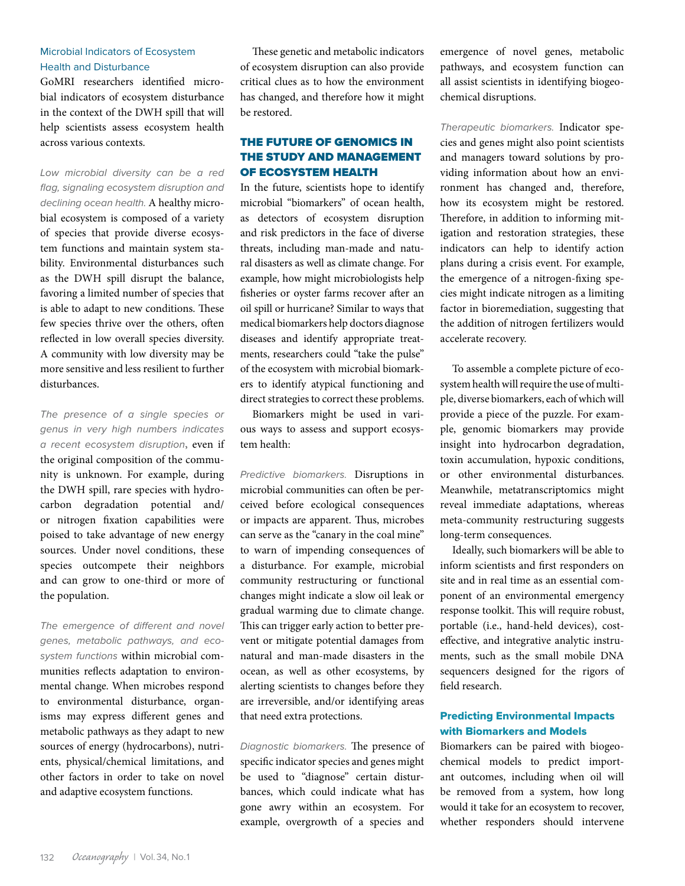## Microbial Indicators of Ecosystem Health and Disturbance

GoMRI researchers identified microbial indicators of ecosystem disturbance in the context of the DWH spill that will help scientists assess ecosystem health across various contexts.

*Low microbial diversity can be a red flag, signaling ecosystem disruption and declining ocean health.* A healthy microbial ecosystem is composed of a variety of species that provide diverse ecosystem functions and maintain system stability. Environmental disturbances such as the DWH spill disrupt the balance, favoring a limited number of species that is able to adapt to new conditions. These few species thrive over the others, often reflected in low overall species diversity. A community with low diversity may be more sensitive and less resilient to further disturbances.

*The presence of a single species or genus in very high numbers indicates a recent ecosystem disruption***,** even if the original composition of the community is unknown. For example, during the DWH spill, rare species with hydrocarbon degradation potential and/ or nitrogen fixation capabilities were poised to take advantage of new energy sources. Under novel conditions, these species outcompete their neighbors and can grow to one-third or more of the population.

*The emergence of different and novel genes, metabolic pathways, and ecosystem functions* within microbial communities reflects adaptation to environmental change. When microbes respond to environmental disturbance, organisms may express different genes and metabolic pathways as they adapt to new sources of energy (hydrocarbons), nutrients, physical/chemical limitations, and other factors in order to take on novel and adaptive ecosystem functions.

These genetic and metabolic indicators of ecosystem disruption can also provide critical clues as to how the environment has changed, and therefore how it might be restored.

# THE FUTURE OF GENOMICS IN THE STUDY AND MANAGEMENT OF ECOSYSTEM HEALTH

In the future, scientists hope to identify microbial "biomarkers" of ocean health, as detectors of ecosystem disruption and risk predictors in the face of diverse threats, including man-made and natural disasters as well as climate change. For example, how might microbiologists help fisheries or oyster farms recover after an oil spill or hurricane? Similar to ways that medical biomarkers help doctors diagnose diseases and identify appropriate treatments, researchers could "take the pulse" of the ecosystem with microbial biomarkers to identify atypical functioning and direct strategies to correct these problems.

Biomarkers might be used in various ways to assess and support ecosystem health:

*Predictive biomarkers.* Disruptions in microbial communities can often be perceived before ecological consequences or impacts are apparent. Thus, microbes can serve as the "canary in the coal mine" to warn of impending consequences of a disturbance. For example, microbial community restructuring or functional changes might indicate a slow oil leak or gradual warming due to climate change. This can trigger early action to better prevent or mitigate potential damages from natural and man-made disasters in the ocean, as well as other ecosystems, by alerting scientists to changes before they are irreversible, and/or identifying areas that need extra protections.

*Diagnostic biomarkers.* The presence of specific indicator species and genes might be used to "diagnose" certain disturbances, which could indicate what has gone awry within an ecosystem. For example, overgrowth of a species and

emergence of novel genes, metabolic pathways, and ecosystem function can all assist scientists in identifying biogeochemical disruptions.

*Therapeutic biomarkers.* Indicator species and genes might also point scientists and managers toward solutions by providing information about how an environment has changed and, therefore, how its ecosystem might be restored. Therefore, in addition to informing mitigation and restoration strategies, these indicators can help to identify action plans during a crisis event. For example, the emergence of a nitrogen-fixing species might indicate nitrogen as a limiting factor in bioremediation, suggesting that the addition of nitrogen fertilizers would accelerate recovery.

To assemble a complete picture of ecosystem health will require the use of multiple, diverse biomarkers, each of which will provide a piece of the puzzle. For example, genomic biomarkers may provide insight into hydrocarbon degradation, toxin accumulation, hypoxic conditions, or other environmental disturbances. Meanwhile, metatranscriptomics might reveal immediate adaptations, whereas meta-community restructuring suggests long-term consequences.

Ideally, such biomarkers will be able to inform scientists and first responders on site and in real time as an essential component of an environmental emergency response toolkit. This will require robust, portable (i.e., hand-held devices), costeffective, and integrative analytic instruments, such as the small mobile DNA sequencers designed for the rigors of field research.

# Predicting Environmental Impacts with Biomarkers and Models

Biomarkers can be paired with biogeochemical models to predict important outcomes, including when oil will be removed from a system, how long would it take for an ecosystem to recover, whether responders should intervene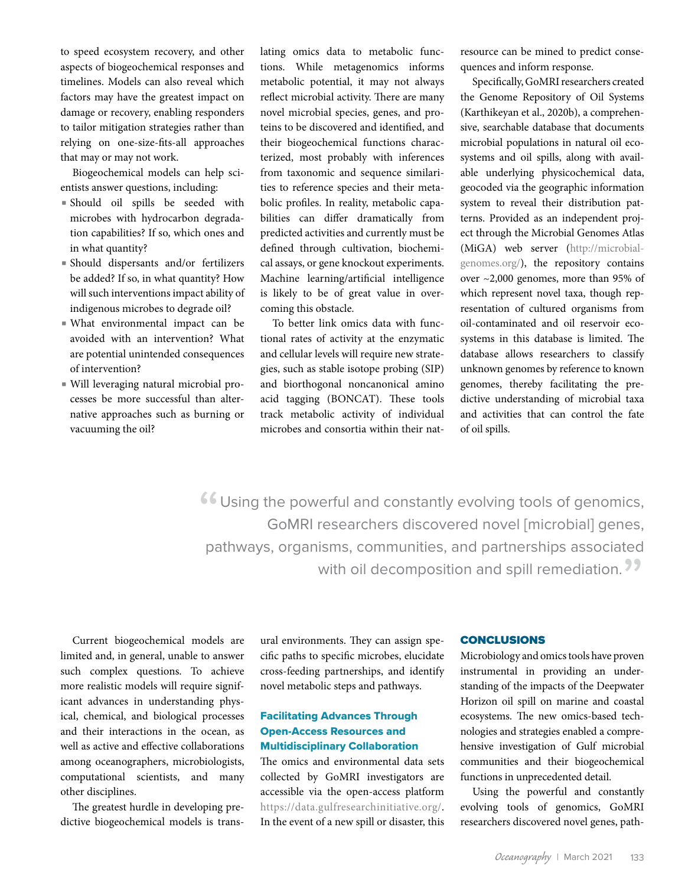to speed ecosystem recovery, and other aspects of biogeochemical responses and timelines. Models can also reveal which factors may have the greatest impact on damage or recovery, enabling responders to tailor mitigation strategies rather than relying on one-size-fits-all approaches that may or may not work.

Biogeochemical models can help scientists answer questions, including:

- Should oil spills be seeded with microbes with hydrocarbon degradation capabilities? If so, which ones and in what quantity?
- Should dispersants and/or fertilizers be added? If so, in what quantity? How will such interventions impact ability of indigenous microbes to degrade oil?
- What environmental impact can be avoided with an intervention? What are potential unintended consequences of intervention?
- Will leveraging natural microbial processes be more successful than alternative approaches such as burning or vacuuming the oil?

lating omics data to metabolic functions. While metagenomics informs metabolic potential, it may not always reflect microbial activity. There are many novel microbial species, genes, and proteins to be discovered and identified, and their biogeochemical functions characterized, most probably with inferences from taxonomic and sequence similarities to reference species and their metabolic profiles. In reality, metabolic capabilities can differ dramatically from predicted activities and currently must be defined through cultivation, biochemical assays, or gene knockout experiments. Machine learning/artificial intelligence is likely to be of great value in overcoming this obstacle.

To better link omics data with functional rates of activity at the enzymatic and cellular levels will require new strategies, such as stable isotope probing (SIP) and biorthogonal noncanonical amino acid tagging (BONCAT). These tools track metabolic activity of individual microbes and consortia within their natresource can be mined to predict consequences and inform response.

Specifically, GoMRI researchers created the Genome Repository of Oil Systems (Karthikeyan et al., 2020b), a comprehensive, searchable database that documents microbial populations in natural oil ecosystems and oil spills, along with available underlying physicochemical data, geocoded via the geographic information system to reveal their distribution patterns. Provided as an independent project through the Microbial Genomes Atlas (MiGA) web server ([http://microbial](http://microbial-genomes.org/)[genomes.org/](http://microbial-genomes.org/)), the repository contains over ~2,000 genomes, more than 95% of which represent novel taxa, though representation of cultured organisms from oil-contaminated and oil reservoir ecosystems in this database is limited. The database allows researchers to classify unknown genomes by reference to known genomes, thereby facilitating the predictive understanding of microbial taxa and activities that can control the fate of oil spills.

**"** Using the powerful and constantly evolving tools of genomics,<br>
GoMRI researchers discovered novel [microbial] genes, GoMRI researchers discovered novel [microbial] genes, pathways, organisms, communities, and partnerships associated with oil decomposition and spill remediation.

Current biogeochemical models are limited and, in general, unable to answer such complex questions. To achieve more realistic models will require significant advances in understanding physical, chemical, and biological processes and their interactions in the ocean, as well as active and effective collaborations among oceanographers, microbiologists, computational scientists, and many other disciplines.

The greatest hurdle in developing predictive biogeochemical models is transural environments. They can assign specific paths to specific microbes, elucidate cross-feeding partnerships, and identify novel metabolic steps and pathways.

# Facilitating Advances Through Open-Access Resources and Multidisciplinary Collaboration

The omics and environmental data sets collected by GoMRI investigators are accessible via the open-access platform [https://data.gulfresearchinitiative.org/.](https://data.gulfresearchinitiative.org/) In the event of a new spill or disaster, this

## CONCLUSIONS

Microbiology and omics tools have proven instrumental in providing an understanding of the impacts of the Deepwater Horizon oil spill on marine and coastal ecosystems. The new omics-based technologies and strategies enabled a comprehensive investigation of Gulf microbial communities and their biogeochemical functions in unprecedented detail.

Using the powerful and constantly evolving tools of genomics, GoMRI researchers discovered novel genes, path-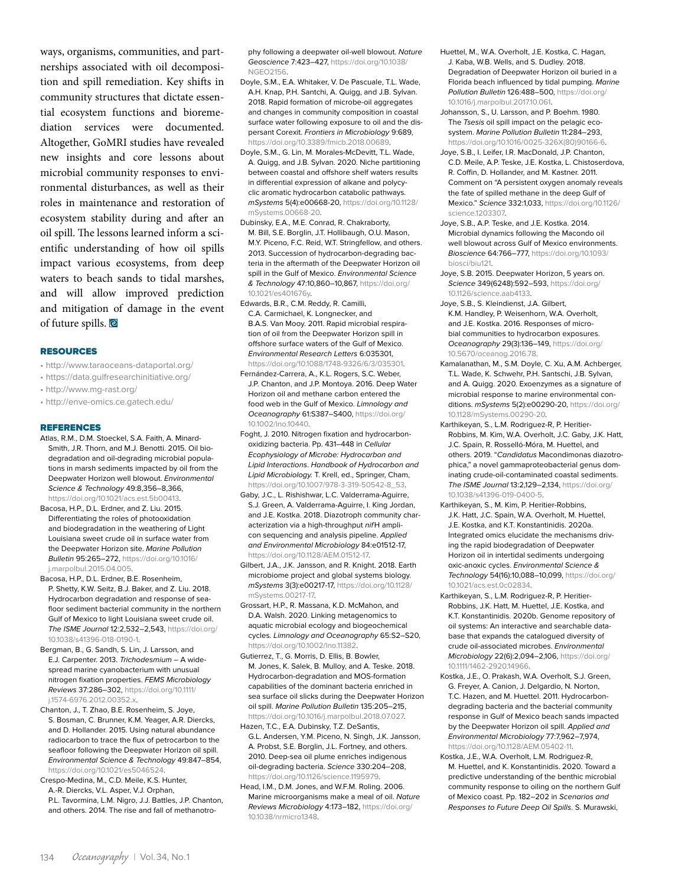ways, organisms, communities, and partnerships associated with oil decomposition and spill remediation. Key shifts in community structures that dictate essential ecosystem functions and bioremediation services were documented. Altogether, GoMRI studies have revealed new insights and core lessons about microbial community responses to environmental disturbances, as well as their roles in maintenance and restoration of ecosystem stability during and after an oil spill. The lessons learned inform a scientific understanding of how oil spills impact various ecosystems, from deep waters to beach sands to tidal marshes, and will allow improved prediction and mitigation of damage in the event of future spills.

### RESOURCES

- <http://www.taraoceans-dataportal.org/>
- <https://data.gulfresearchinitiative.org/>
- <http://www.mg-rast.org/>
- <http://enve-omics.ce.gatech.edu/>

#### REFERENCES

- Atlas, R.M., D.M. Stoeckel, S.A. Faith, A. Minard-Smith, J.R. Thorn, and M.J. Benotti. 2015. Oil biodegradation and oil-degrading microbial populations in marsh sediments impacted by oil from the Deepwater Horizon well blowout. *Environmental Science & Technology* 49:8,356–8,366, <https://doi.org/10.1021/acs.est.5b00413>.
- Bacosa, H.P., D.L. Erdner, and Z. Liu. 2015. Differentiating the roles of photooxidation and biodegradation in the weathering of Light Louisiana sweet crude oil in surface water from the Deepwater Horizon site. *Marine Pollution Bulletin* 95:265–272, [https://doi.org/10.1016/](https://doi.org/10.1016/j.marpolbul.2015.04.005) [j.marpolbul.2015.04.005](https://doi.org/10.1016/j.marpolbul.2015.04.005).
- Bacosa, H.P., D.L. Erdner, B.E. Rosenheim, P. Shetty, K.W. Seitz, B.J. Baker, and Z. Liu. 2018. Hydrocarbon degradation and response of seafloor sediment bacterial community in the northern Gulf of Mexico to light Louisiana sweet crude oil. *The ISME Journal* 12:2,532–2,543, [https://doi.org/](https://doi.org/10.1038/s41396-018-0190-1) [10.1038/s41396-018-0190-1.](https://doi.org/10.1038/s41396-018-0190-1)
- Bergman, B., G. Sandh, S. Lin, J. Larsson, and E.J. Carpenter. 2013. *Trichodesmium* – A widespread marine cyanobacterium with unusual nitrogen fixation properties. *FEMS Microbiology Reviews* 37:286–302, [https://doi.org/10.1111/](https://doi.org/10.1111/j.1574-6976.2012.00352.x) [j.1574-6976.2012.00352.x.](https://doi.org/10.1111/j.1574-6976.2012.00352.x)
- Chanton, J., T. Zhao, B.E. Rosenheim, S. Joye, S. Bosman, C. Brunner, K.M. Yeager, A.R. Diercks, and D. Hollander. 2015. Using natural abundance radiocarbon to trace the flux of petrocarbon to the seafloor following the Deepwater Horizon oil spill. *Environmental Science & Technology* 49:847–854, <https://doi.org/10.1021/es5046524>.
- Crespo-Medina, M., C.D. Meile, K.S. Hunter, A.-R. Diercks, V.L. Asper, V.J. Orphan, P.L. Tavormina, L.M. Nigro, J.J. Battles, J.P. Chanton, and others. 2014. The rise and fall of methanotro-

phy following a deepwater oil-well blowout. *Nature Geoscience* 7:423–427, [https://doi.org/10.1038/](https://doi.org/10.1038/NGEO2156) [NGEO2156](https://doi.org/10.1038/NGEO2156).

- Doyle, S.M., E.A. Whitaker, V. De Pascuale, T.L. Wade, A.H. Knap, P.H. Santchi, A. Quigg, and J.B. Sylvan. 2018. Rapid formation of microbe-oil aggregates and changes in community composition in coastal surface water following exposure to oil and the dispersant Corexit. *Frontiers in Microbiology* 9:689, [https://doi.org/10.3389/fmicb.2018.00689.](https://doi.org/10.3389/fmicb.2018.00689)
- Doyle, S.M., G. Lin, M. Morales-McDevitt, T.L. Wade, A. Quigg, and J.B. Sylvan. 2020. Niche partitioning between coastal and offshore shelf waters results in differential expression of alkane and polycyclic aromatic hydrocarbon catabolic pathways. *mSystems* 5(4):e00668-20, [https://doi.org/10.1128/](https://doi.org/10.1128/mSystems.00668-20) [mSystems.00668-20.](https://doi.org/10.1128/mSystems.00668-20)
- Dubinsky, E.A., M.E. Conrad, R. Chakraborty, M. Bill, S.E. Borglin, J.T. Hollibaugh, O.U. Mason, M.Y. Piceno, F.C. Reid, W.T. Stringfellow, and others. 2013. Succession of hydrocarbon-degrading bacteria in the aftermath of the Deepwater Horizon oil spill in the Gulf of Mexico. *Environmental Science & Technology* 47:10,860–10,867, [https://doi.org/](https://doi.org/10.1021/es401676y) [10.1021/es401676y](https://doi.org/10.1021/es401676y).
- Edwards, B.R., C.M. Reddy, R. Camilli, C.A. Carmichael, K. Longnecker, and B.A.S. Van Mooy. 2011. Rapid microbial respiration of oil from the Deepwater Horizon spill in offshore surface waters of the Gulf of Mexico. *Environmental Research Letters* 6:035301, <https://doi.org/10.1088/1748-9326/6/3/035301>.
- Fernández-Carrera, A., K.L. Rogers, S.C. Weber, J.P. Chanton, and J.P. Montoya. 2016. Deep Water Horizon oil and methane carbon entered the food web in the Gulf of Mexico. *Limnology and Oceanography* 61:S387–S400, [https://doi.org/](https://doi.org/10.1002/lno.10440) [10.1002/lno.10440.](https://doi.org/10.1002/lno.10440)
- Foght, J. 2010. Nitrogen fixation and hydrocarbonoxidizing bacteria. Pp. 431–448 in *Cellular Ecophysiology of Microbe: Hydrocarbon and Lipid Interactions*. *Handbook of Hydrocarbon and Lipid Microbiology.* T. Krell, ed., Springer, Cham, [https://doi.org/10.1007/978-3-319-50542-8\\_53.](https://doi.org/10.1007/978-3-319-50542-8_53)
- Gaby, J.C., L. Rishishwar, L.C. Valderrama-Aguirre, S.J. Green, A. Valderrama-Aguirre, I. King Jordan, and J.E. Kostka. 2018. Diazotroph community characterization via a high-throughput *nif*H amplicon sequencing and analysis pipeline. *Applied and Environmental Microbiology* 84:e01512-17, <https://doi.org/10.1128/AEM.01512-17>.
- Gilbert, J.A., J.K. Jansson, and R. Knight. 2018. Earth microbiome project and global systems biology. *mSystems* 3(3):e00217-17, [https://doi.org/10.1128/](https://doi.org/10.1128/mSystems.00217-17) [mSystems.00217-17.](https://doi.org/10.1128/mSystems.00217-17)
- Grossart, H.P., R. Massana, K.D. McMahon, and D.A. Walsh. 2020. Linking metagenomics to aquatic microbial ecology and biogeochemical cycles. *Limnology and Oceanography* 65:S2–S20, <https://doi.org/10.1002/lno.11382>.
- Gutierrez, T., G. Morris, D. Ellis, B. Bowler, M. Jones, K. Salek, B. Mulloy, and A. Teske. 2018. Hydrocarbon-degradation and MOS-formation capabilities of the dominant bacteria enriched in sea surface oil slicks during the Deepwater Horizon oil spill. *Marine Pollution Bulletin* 135:205–215, [https://doi.org/10.1016/j.marpolbul.2018.07.027.](https://doi.org/10.1016/j.marpolbul.2018.07.027)
- Hazen, T.C., E.A. Dubinsky, T.Z. DeSantis, G.L. Andersen, Y.M. Piceno, N. Singh, J.K. Jansson, A. Probst, S.E. Borglin, J.L. Fortney, and others. 2010. Deep-sea oil plume enriches indigenous oil-degrading bacteria. *Science* 330:204–208, <https://doi.org/10.1126/science.1195979>.
- Head, I.M., D.M. Jones, and W.F.M. Roling. 2006. Marine microorganisms make a meal of oil. *Nature Reviews Microbiology* 4:173–182, [https://doi.org/](https://doi.org/10.1038/nrmicro1348) [10.1038/nrmicro1348.](https://doi.org/10.1038/nrmicro1348)
- Huettel, M., W.A. Overholt, J.E. Kostka, C. Hagan, J. Kaba, W.B. Wells, and S. Dudley. 2018. Degradation of Deepwater Horizon oil buried in a Florida beach influenced by tidal pumping. *Marine Pollution Bulletin* 126:488–500, [https://doi.org/](https://doi.org/10.1016/j.marpolbul.2017.10.061) [10.1016/j.marpolbul.2017.10.061](https://doi.org/10.1016/j.marpolbul.2017.10.061).
- Johansson, S., U. Larsson, and P. Boehm. 1980. The *Tsesis* oil spill impact on the pelagic ecosystem. *Marine Pollution Bulletin* 11:284–293, [https://doi.org/10.1016/0025-326X\(80\)90166-6.](https://doi.org/10.1016/0025-326X(80)90166-6)
- Joye, S.B., I. Leifer, I.R. MacDonald, J.P. Chanton, C.D. Meile, A.P. Teske, J.E. Kostka, L. Chistoserdova, R. Coffin, D. Hollander, and M. Kastner. 2011. Comment on "A persistent oxygen anomaly reveals the fate of spilled methane in the deep Gulf of Mexico." *Science* 332:1,033, [https://doi.org/10.1126/](https://doi.org/10.1126/science.1203307) [science.1203307](https://doi.org/10.1126/science.1203307).
- Joye, S.B., A.P. Teske, and J.E. Kostka. 2014. Microbial dynamics following the Macondo oil well blowout across Gulf of Mexico environments. *Bioscience* 64:766–777, [https://doi.org/10.1093/](https://doi.org/10.1093/biosci/biu121) [biosci/biu121](https://doi.org/10.1093/biosci/biu121).
- Joye, S.B. 2015. Deepwater Horizon, 5 years on. *Science* 349(6248):592–593, [https://doi.org/](https://doi.org/10.1126/science.aab4133) [10.1126/science.aab4133.](https://doi.org/10.1126/science.aab4133)
- Joye, S.B., S. Kleindienst, J.A. Gilbert, K.M. Handley, P. Weisenhorn, W.A. Overholt, and J.E. Kostka. 2016. Responses of microbial communities to hydrocarbon exposures. *Oceanography* 29(3):136–149, [https://doi.org/](https://doi.org/10.5670/oceanog.2016.78) [10.5670/oceanog.2016.78](https://doi.org/10.5670/oceanog.2016.78).
- Kamalanathan, M., S.M. Doyle, C. Xu, A.M. Achberger, T.L. Wade, K. Schwehr, P.H. Santschi, J.B. Sylvan, and A. Quigg. 2020. Exoenzymes as a signature of microbial response to marine environmental conditions. *mSystems* 5(2):e00290-20, [https://doi.org/](https://doi.org/10.1128/mSystems.00290-20) [10.1128/mSystems.00290-20](https://doi.org/10.1128/mSystems.00290-20).
- Karthikeyan, S., L.M. Rodriguez-R, P. Heritier-Robbins, M. Kim, W.A. Overholt, J.C. Gaby, J.K. Hatt, J.C. Spain, R. Rosselló-Móra, M. Huettel, and others. 2019. "*Candidatus* Macondimonas diazotrophica," a novel gammaproteobacterial genus dominating crude-oil-contaminated coastal sediments. *The ISME Journal* 13:2,129–2,134, [https://doi.org/](https://doi.org/10.1038/s41396-019-0400-5) [10.1038/s41396-019-0400-5.](https://doi.org/10.1038/s41396-019-0400-5)
- Karthikeyan, S., M. Kim, P. Heritier-Robbins, J.K. Hatt, J.C. Spain, W.A. Overholt, M. Huettel, J.E. Kostka, and K.T. Konstantinidis. 2020a. Integrated omics elucidate the mechanisms driving the rapid biodegradation of Deepwater Horizon oil in intertidal sediments undergoing oxic-anoxic cycles. *Environmental Science & Technology* 54(16):10,088–10,099, [https://doi.org/](https://doi.org/10.1021/acs.est.0c02834) [10.1021/acs.est.0c02834](https://doi.org/10.1021/acs.est.0c02834).
- Karthikeyan, S., L.M. Rodriguez-R, P. Heritier-Robbins, J.K. Hatt, M. Huettel, J.E. Kostka, and K.T. Konstantinidis. 2020b. Genome repository of oil systems: An interactive and searchable database that expands the catalogued diversity of crude oil-associated microbes. *Environmental Microbiology* 22(6):2,094–2,106, [https://doi.org/](https://doi.org/10.1111/1462-2920.14966) [10.1111/1462-2920.14966.](https://doi.org/10.1111/1462-2920.14966)
- Kostka, J.E., O. Prakash, W.A. Overholt, S.J. Green, G. Freyer, A. Canion, J. Delgardio, N. Norton, T.C. Hazen, and M. Huettel. 2011. Hydrocarbondegrading bacteria and the bacterial community response in Gulf of Mexico beach sands impacted by the Deepwater Horizon oil spill. *Applied and Environmental Microbiology* 77:7,962–7,974, <https://doi.org/10.1128/AEM.05402-11>.
- Kostka, J.E., W.A. Overholt, L.M. Rodriguez-R, M. Huettel, and K. Konstantinidis. 2020. Toward a predictive understanding of the benthic microbial community response to oiling on the northern Gulf of Mexico coast. Pp. 182–202 in *Scenarios and Responses to Future Deep Oil Spills*. S. Murawski,